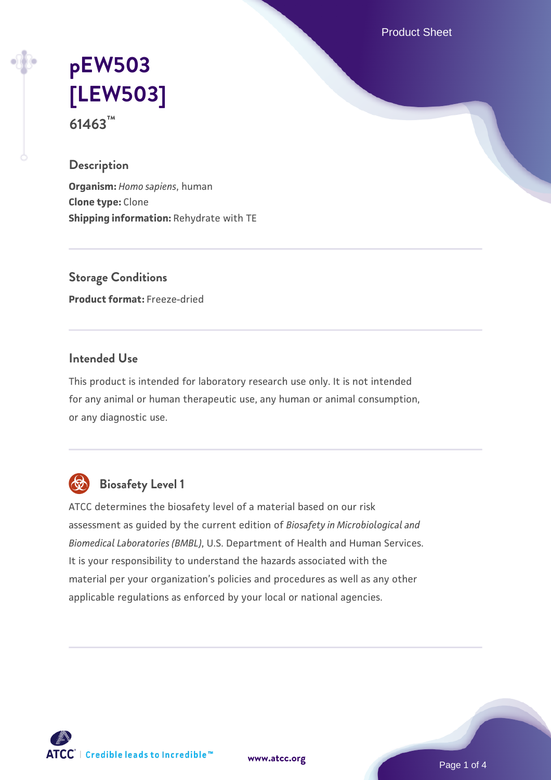Product Sheet

# **[pEW503](https://www.atcc.org/products/61463) [\[LEW503\]](https://www.atcc.org/products/61463) 61463™**

#### **Description**

**Organism:** *Homo sapiens*, human **Clone type:** Clone **Shipping information:** Rehydrate with TE

**Storage Conditions Product format:** Freeze-dried

### **Intended Use**

This product is intended for laboratory research use only. It is not intended for any animal or human therapeutic use, any human or animal consumption, or any diagnostic use.



# **Biosafety Level 1**

ATCC determines the biosafety level of a material based on our risk assessment as guided by the current edition of *Biosafety in Microbiological and Biomedical Laboratories (BMBL)*, U.S. Department of Health and Human Services. It is your responsibility to understand the hazards associated with the material per your organization's policies and procedures as well as any other applicable regulations as enforced by your local or national agencies.



**[www.atcc.org](http://www.atcc.org)**

Page 1 of 4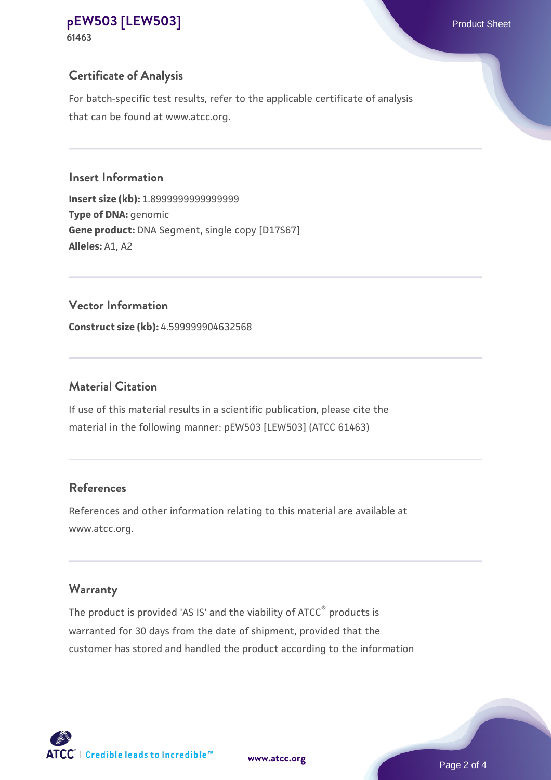#### **[pEW503 \[LEW503\]](https://www.atcc.org/products/61463)** Product Sheet **61463**

# **Certificate of Analysis**

For batch-specific test results, refer to the applicable certificate of analysis that can be found at www.atcc.org.

## **Insert Information**

**Insert size (kb):** 1.8999999999999999 **Type of DNA:** genomic **Gene product:** DNA Segment, single copy [D17S67] **Alleles:** A1, A2

## **Vector Information**

**Construct size (kb):** 4.599999904632568

# **Material Citation**

If use of this material results in a scientific publication, please cite the material in the following manner: pEW503 [LEW503] (ATCC 61463)

# **References**

References and other information relating to this material are available at www.atcc.org.

## **Warranty**

The product is provided 'AS IS' and the viability of ATCC® products is warranted for 30 days from the date of shipment, provided that the customer has stored and handled the product according to the information



**[www.atcc.org](http://www.atcc.org)**

Page 2 of 4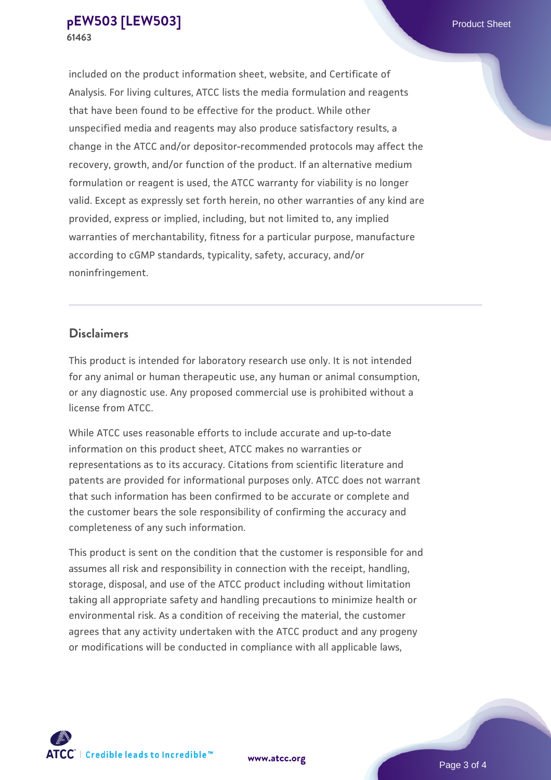included on the product information sheet, website, and Certificate of Analysis. For living cultures, ATCC lists the media formulation and reagents that have been found to be effective for the product. While other unspecified media and reagents may also produce satisfactory results, a change in the ATCC and/or depositor-recommended protocols may affect the recovery, growth, and/or function of the product. If an alternative medium formulation or reagent is used, the ATCC warranty for viability is no longer valid. Except as expressly set forth herein, no other warranties of any kind are provided, express or implied, including, but not limited to, any implied warranties of merchantability, fitness for a particular purpose, manufacture according to cGMP standards, typicality, safety, accuracy, and/or noninfringement.

#### **Disclaimers**

This product is intended for laboratory research use only. It is not intended for any animal or human therapeutic use, any human or animal consumption, or any diagnostic use. Any proposed commercial use is prohibited without a license from ATCC.

While ATCC uses reasonable efforts to include accurate and up-to-date information on this product sheet, ATCC makes no warranties or representations as to its accuracy. Citations from scientific literature and patents are provided for informational purposes only. ATCC does not warrant that such information has been confirmed to be accurate or complete and the customer bears the sole responsibility of confirming the accuracy and completeness of any such information.

This product is sent on the condition that the customer is responsible for and assumes all risk and responsibility in connection with the receipt, handling, storage, disposal, and use of the ATCC product including without limitation taking all appropriate safety and handling precautions to minimize health or environmental risk. As a condition of receiving the material, the customer agrees that any activity undertaken with the ATCC product and any progeny or modifications will be conducted in compliance with all applicable laws,



**[www.atcc.org](http://www.atcc.org)**

Page 3 of 4